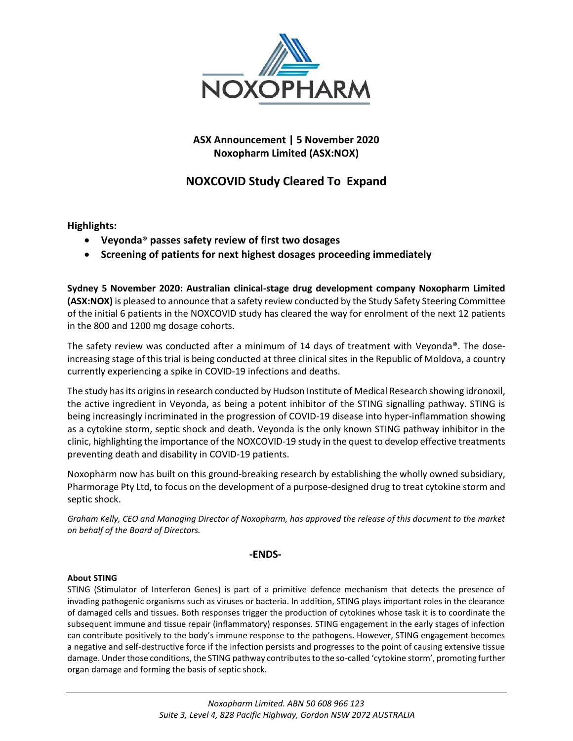

# **ASX Announcement | 5 November 2020 Noxopharm Limited (ASX:NOX)**

# **NOXCOVID Study Cleared To Expand**

**Highlights:**

- **Veyonda**® **passes safety review of first two dosages**
- **Screening of patients for next highest dosages proceeding immediately**

**Sydney 5 November 2020: Australian clinical-stage drug development company Noxopharm Limited (ASX:NOX)** is pleased to announce that a safety review conducted by the Study Safety Steering Committee of the initial 6 patients in the NOXCOVID study has cleared the way for enrolment of the next 12 patients in the 800 and 1200 mg dosage cohorts.

The safety review was conducted after a minimum of 14 days of treatment with Veyonda®. The doseincreasing stage of this trial is being conducted at three clinical sites in the Republic of Moldova, a country currently experiencing a spike in COVID-19 infections and deaths.

The study has its origins in research conducted by Hudson Institute of Medical Research showing idronoxil, the active ingredient in Veyonda, as being a potent inhibitor of the STING signalling pathway. STING is being increasingly incriminated in the progression of COVID-19 disease into hyper-inflammation showing as a cytokine storm, septic shock and death. Veyonda is the only known STING pathway inhibitor in the clinic, highlighting the importance of the NOXCOVID-19 study in the quest to develop effective treatments preventing death and disability in COVID-19 patients.

Noxopharm now has built on this ground-breaking research by establishing the wholly owned subsidiary, Pharmorage Pty Ltd, to focus on the development of a purpose-designed drug to treat cytokine storm and septic shock.

*Graham Kelly, CEO and Managing Director of Noxopharm, has approved the release of this document to the market on behalf of the Board of Directors.*

## **-ENDS-**

## **About STING**

STING (Stimulator of Interferon Genes) is part of a primitive defence mechanism that detects the presence of invading pathogenic organisms such as viruses or bacteria. In addition, STING plays important roles in the clearance of damaged cells and tissues. Both responses trigger the production of cytokines whose task it is to coordinate the subsequent immune and tissue repair (inflammatory) responses. STING engagement in the early stages of infection can contribute positively to the body's immune response to the pathogens. However, STING engagement becomes a negative and self-destructive force if the infection persists and progresses to the point of causing extensive tissue damage. Under those conditions, the STING pathway contributes to the so-called 'cytokine storm', promoting further organ damage and forming the basis of septic shock.